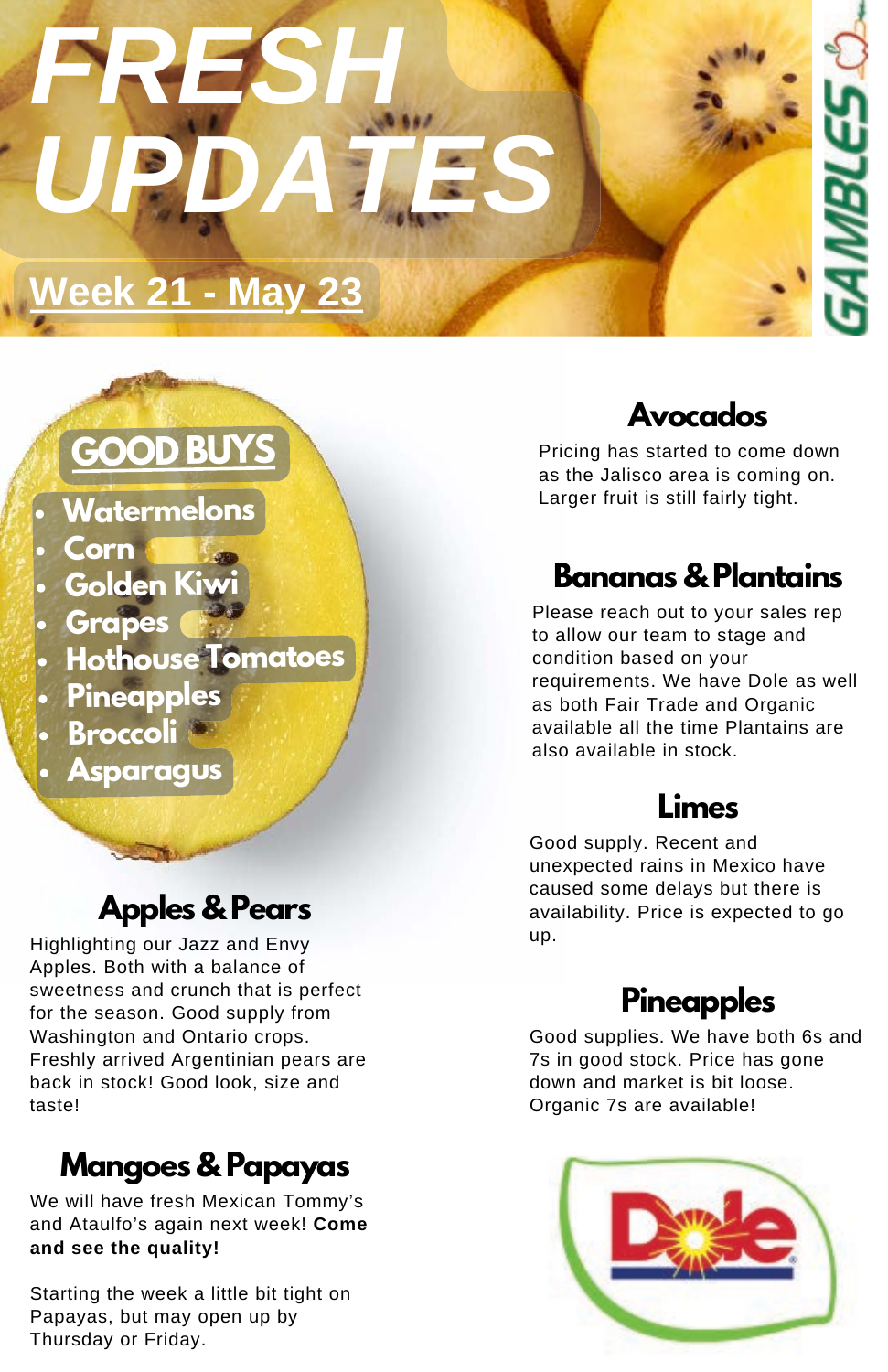# *FRESH UPDATES*

# **Week 21 - May 23**

# **GOODBU**

- **Watermelons**
- **Corn**
- **Golden Kiv**
- **Grapes**
- **Hothouse Tomatoes**
- **Pineapples**
- **Broccoli**
- **Asparagus**

#### **Apples & Pears**

Highlighting our Jazz and Envy Apples. Both with a balance of sweetness and crunch that is perfect for the season. Good supply from Washington and Ontario crops. Freshly arrived Argentinian pears are back in stock! Good look, size and taste!

# **Mangoes & Papayas**

We will have fresh Mexican Tommy's and Ataulfo's again next week! **Come and see the quality!**

Starting the week a little bit tight on Papayas, but may open up by Thursday or Friday.

#### **Avocados**

Pricing has started to come down as the Jalisco area is coming on. Larger fruit is still fairly tight.

#### **Bananas & Plantains**

Please reach out to your sales rep to allow our team to stage and condition based on your requirements. We have Dole as well as both Fair Trade and Organic available all the time Plantains are also available in stock.

#### **Limes**

Good supply. Recent and unexpected rains in Mexico have caused some delays but there is availability. Price is expected to go up.

#### **Pineapples**

Good supplies. We have both 6s and 7s in good stock. Price has gone down and market is bit loose. Organic 7s are available!

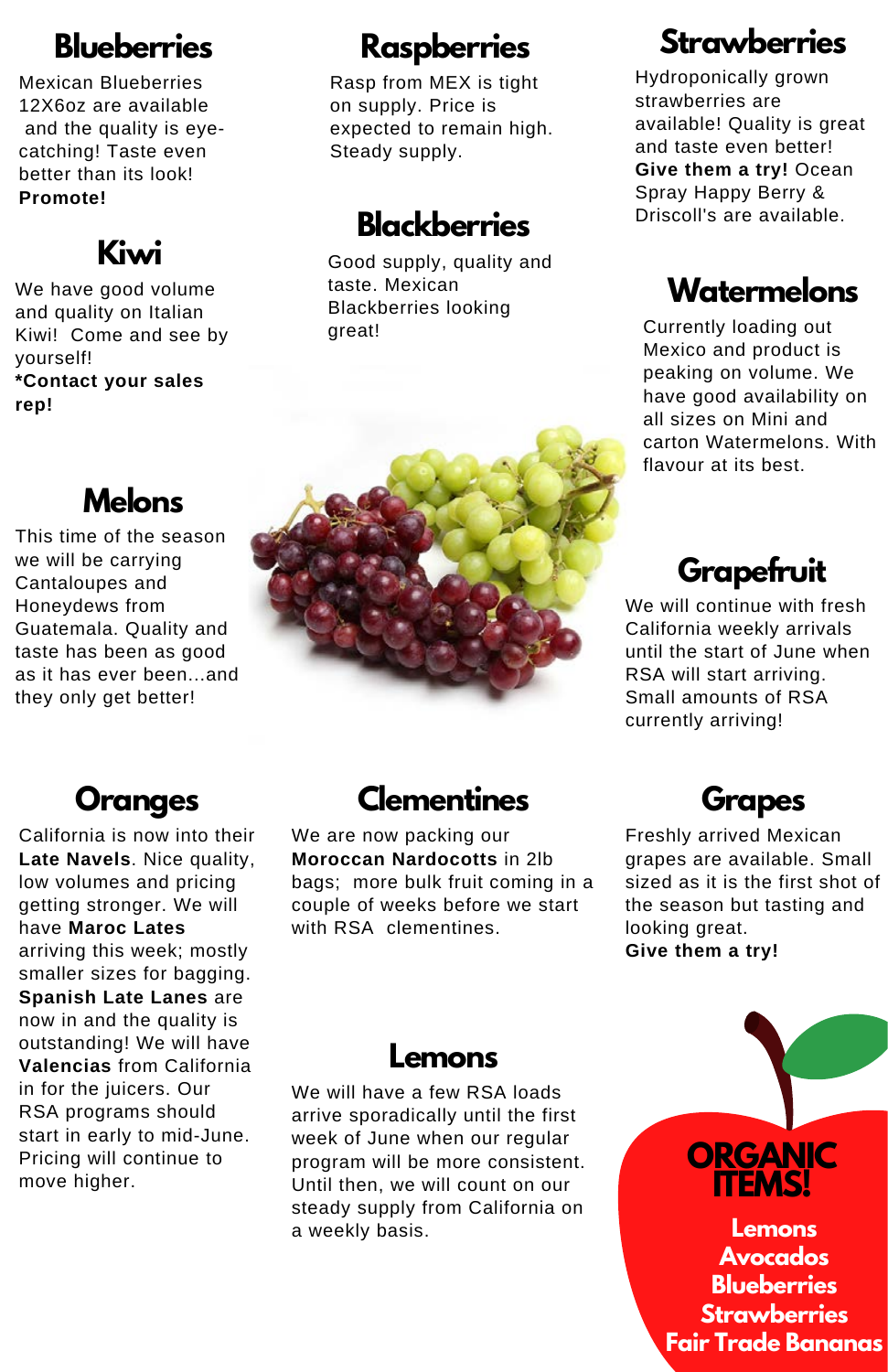#### **Blueberries**

Mexican Blueberries 12X6oz are available and the quality is eyecatching! Taste even better than its look! **Promote!**

#### **Kiwi**

We have good volume and quality on Italian Kiwi! Come and see by yourself! **\*Contact your sales rep!**

**Melons** This time of the season we will be carrying Cantaloupes and Honeydews from Guatemala. Quality and taste has been as good

#### **Raspberries**

Rasp from MEX is tight on supply. Price is expected to remain high. Steady supply.

#### Driscoll's are available. **Blackberries**

Good supply, quality and taste. Mexican Blackberries looking great!

#### **Strawberries**

Hydroponically grown strawberries are available! Quality is great and taste even better! **Give them a try!** Ocean Spray Happy Berry &

#### **Watermelons**

Currently loading out Mexico and product is peaking on volume. We have good availability on all sizes on Mini and carton Watermelons. With flavour at its best.

#### **Grapefruit**

We will continue with fresh California weekly arrivals until the start of June when RSA will start arriving. Small amounts of RSA currently arriving!



#### **Oranges**

they only get better!

California is now into their **Late Navels**. Nice quality, low volumes and pricing getting stronger. We will have **Maroc Lates** arriving this week; mostly smaller sizes for bagging. **Spanish Late Lanes** are now in and the quality is outstanding! We will have **Valencias** from California in for the juicers. Our RSA programs should start in early to mid-June. Pricing will continue to move higher.

#### **Clementines**

We are now packing our **Moroccan Nardocotts** in 2lb bags; more bulk fruit coming in a couple of weeks before we start with RSA clementines.



Freshly arrived Mexican grapes are available. Small sized as it is the first shot of the season but tasting and looking great. **Give them a try!**

#### **Lemons**

We will have a few RSA loads arrive sporadically until the first week of June when our regular program will be more consistent. Until then, we will count on our steady supply from California on a weekly basis.

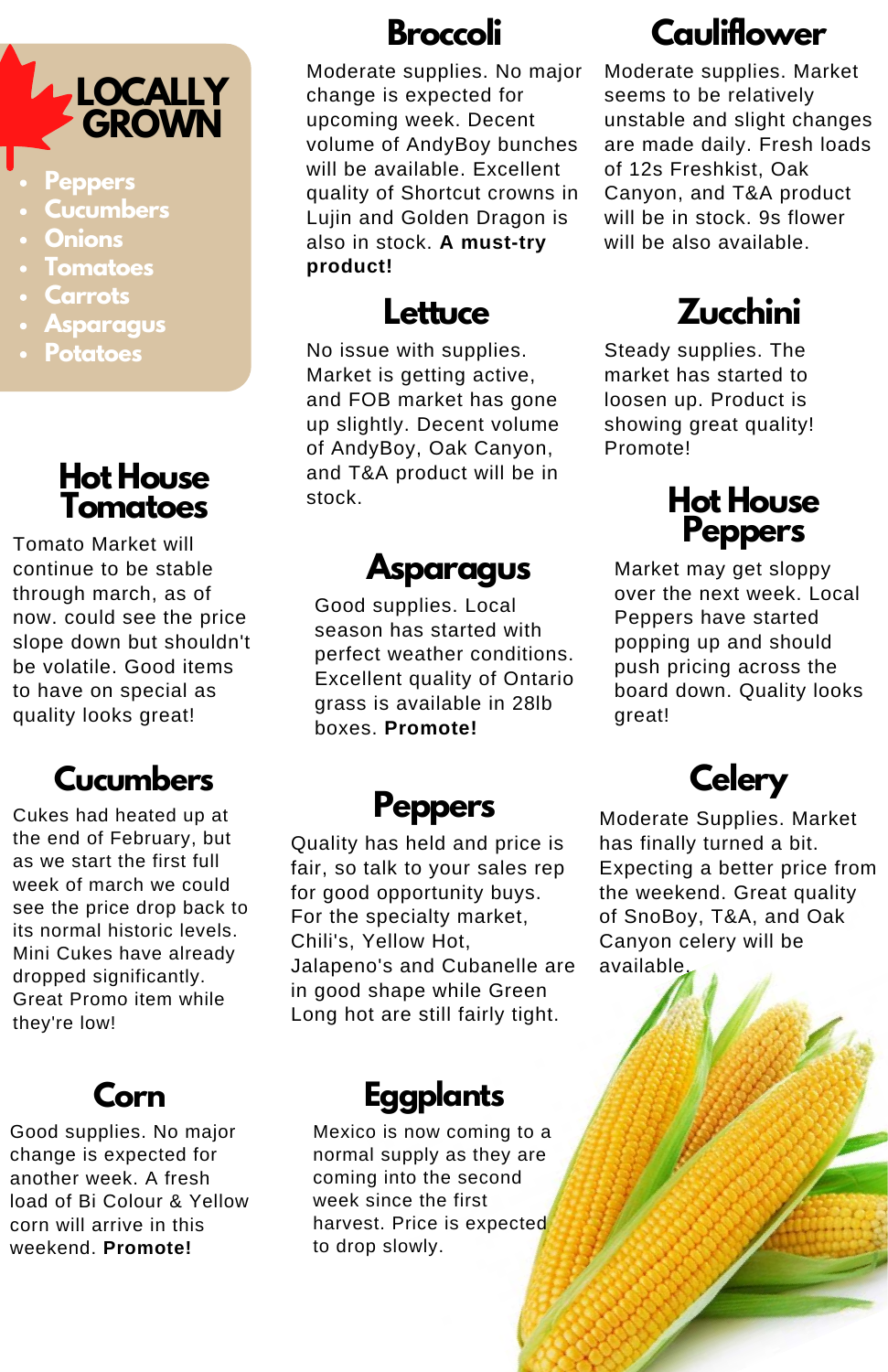# **LOCALLY GROWN**

- **Peppers**
- **Cucumbers**
- **Onions**
- **Tomatoes**
- **Carrots**
- **Asparagus**
- **Potatoes**

#### **Hot House Tomatoes**

Tomato Market will continue to be stable through march, as of now. could see the price slope down but shouldn't be volatile. Good items to have on special as quality looks great!

#### **Cucumbers**

Cukes had heated up at the end of February, but as we start the first full week of march we could see the price drop back to its normal historic levels. Mini Cukes have already dropped significantly. Great Promo item while they're low!

#### **Corn**

Good supplies. No major change is expected for another week. A fresh load of Bi Colour & Yellow corn will arrive in this weekend. **Promote!**

#### **Broccoli**

Moderate supplies. No major change is expected for upcoming week. Decent volume of AndyBoy bunches will be available. Excellent quality of Shortcut crowns in Lujin and Golden Dragon is also in stock. **A must-try product!**

#### **Lettuce**

No issue with supplies. Market is getting active, and FOB market has gone up slightly. Decent volume of AndyBoy, Oak Canyon, and T&A product will be in stock. **Hot House**

#### **Asparagus**

Good supplies. Local season has started with perfect weather conditions. Excellent quality of Ontario grass is available in 28lb boxes. **Promote!**

#### **Peppers**

Quality has held and price is fair, so talk to your sales rep for good opportunity buys. For the specialty market, Chili's, Yellow Hot, Jalapeno's and Cubanelle are in good shape while Green Long hot are still fairly tight.

#### **Eggplants**

Mexico is now coming to a normal supply as they are coming into the second week since the first harvest. Price is expected to drop slowly.

# **Cauliflower**

Moderate supplies. Market seems to be relatively unstable and slight changes are made daily. Fresh loads of 12s Freshkist, Oak Canyon, and T&A product will be in stock. 9s flower will be also available.

# **Zucchini**

Steady supplies. The market has started to loosen up. Product is showing great quality! Promote!

# **Peppers**

Market may get sloppy over the next week. Local Peppers have started popping up and should push pricing across the board down. Quality looks great!

# **Celery**

Moderate Supplies. Market has finally turned a bit. Expecting a better price from the weekend. Great quality of SnoBoy, T&A, and Oak Canyon celery will be available.